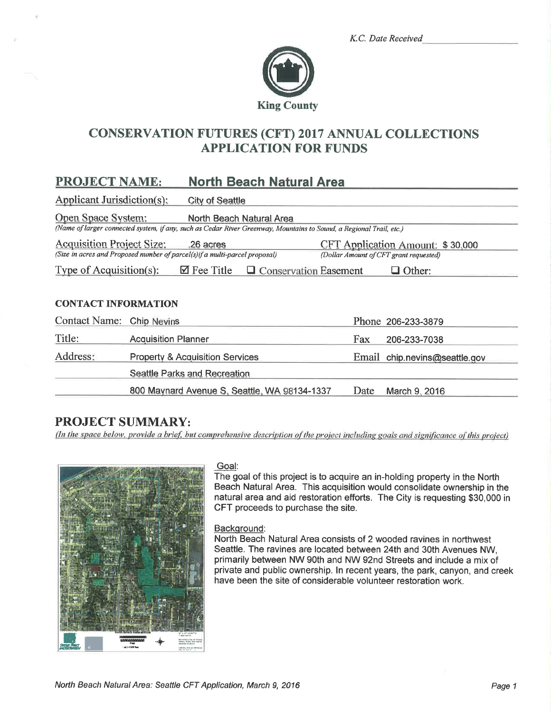|  | K.C. Date Received |
|--|--------------------|
|  |                    |



# **CONSERVATION FUTURES (CFT) 2017 ANNUAL COLLECTIONS APPLICATION FOR FUNDS**

#### **North Beach Natural Area PROJECT NAME:**

Applicant Jurisdiction(s): **City of Seattle** 

Open Space System: North Beach Natural Area

(Name of larger connected system, if any, such as Cedar River Greenway, Mountains to Sound, a Regional Trail, etc.)

**Acquisition Project Size:** .26 acres CFT Application Amount: \$30,000 (Size in acres and Proposed number of parcel(s) if a multi-parcel proposal) (Dollar Amount of CFT grant requested)

Type of Acquisition $(s)$ :  $\boxtimes$  Fee Title  $\Box$  Conservation Easement  $\Box$  Other:

## **CONTACT INFORMATION**

| Contact Name: Chip Nevins |                                              |      | Phone 206-233-3879            |
|---------------------------|----------------------------------------------|------|-------------------------------|
| Title:                    | <b>Acquisition Planner</b>                   | Fax  | 206-233-7038                  |
| Address:                  | <b>Property &amp; Acquisition Services</b>   |      | Email chip.nevins@seattle.gov |
|                           | Seattle Parks and Recreation                 |      |                               |
|                           | 800 Maynard Avenue S, Seattle, WA 98134-1337 | Date | March 9, 2016                 |

# **PROJECT SUMMARY:**

(In the space below, provide a brief, but comprehensive description of the project including goals and significance of this project)



#### Goal:

The goal of this project is to acquire an in-holding property in the North Beach Natural Area. This acquisition would consolidate ownership in the natural area and aid restoration efforts. The City is requesting \$30,000 in CFT proceeds to purchase the site.

## Background:

North Beach Natural Area consists of 2 wooded ravines in northwest Seattle. The ravines are located between 24th and 30th Avenues NW. primarily between NW 90th and NW 92nd Streets and include a mix of private and public ownership. In recent years, the park, canyon, and creek have been the site of considerable volunteer restoration work.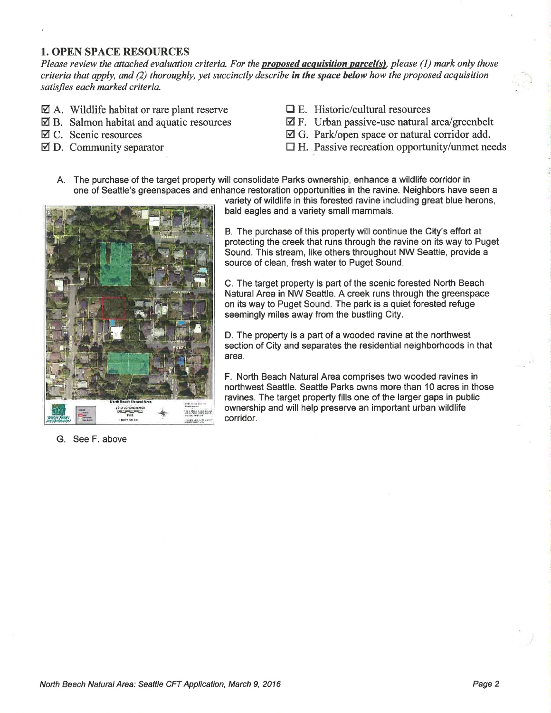### 1. OPEN SPACE RESOURCES

Please review the attached evaluation criteria. For the **proposed acquisition parcel(s)**, please (1) mark only those criteria that apply, and (2) thoroughly, yet succinctly describe in the space below how the proposed acquisition satisfies each marked criteria.

- $\boxtimes$  A. Wildlife habitat or rare plant reserve
- $\boxtimes$  B. Salmon habitat and aquatic resources
- ø C. Scenic resources
- $\boxtimes$  D. Community separator
- $\Box$  E. Historic/cultural resources
- $\boxtimes$  F. Urban passive-use natural area/greenbelt
- $\boxtimes$  G. Park/open space or natural corridor add.
- $\Box$  H. Passive recreation opportunity/unmet needs
- A. The purchase of the target property will consolidate Parks ownership, enhance a wildlife corridor in one of Seattle's greenspaces and enhance restoration opportunities in the ravine. Neighbors have seen a



G. See F. above

variety of wildlife in this forested ravine including great blue herons, bald eagles and a variety small mammals.

B. The purchase of this property will continue the City's effort at protecting the creek that runs through the ravine on its way to Puget Sound. This stream, like others throughout NW Seattle, provide a source of clean, fresh water to Puget Sound.

C. The target property is part of the scenic forested North Beach Natural Area in NW Seattle. A creek runs through the greenspace on its way to Puget Sound. The park is a quiet forested refuge seemingly miles away from the bustling City.

D. The property is a part of a wooded ravine at the northwest section of City and separates the residential neighborhoods in that area.

F. North Beach Natural Area comprises two wooded ravines in northwest Seattle. Seattle Parks owns more than 10 acres in those ravines. The target property fills one of the larger gaps in public ownership and will help preserve an important urban wildlife corridor.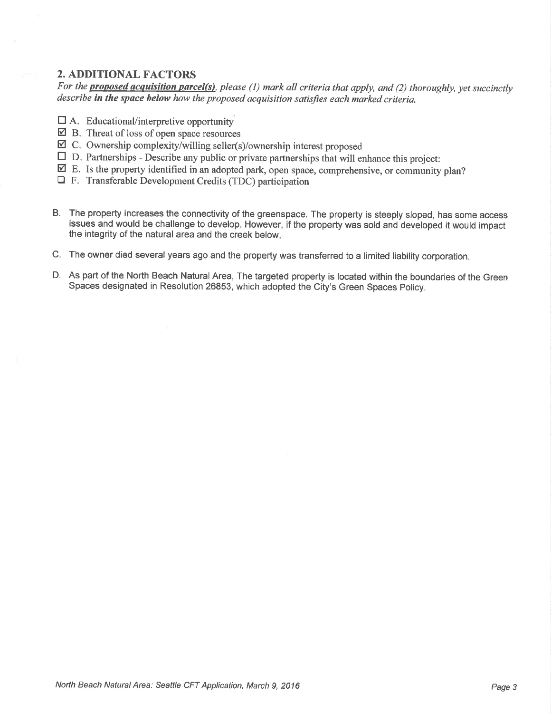## 2. ADDITIONAL FACTORS

For the **proposed acquisition parcel(s)**, please (1) mark all criteria that apply, and (2) thoroughly, yet succinctly  $describe$  in the space below how the proposed acquisition satisfies each marked criteria.

- DA. EducationaVinterpretive opportunity
- $\overline{2}$  B. Threat of loss of open space resources
- $\boxtimes$  C. Ownership complexity/willing seller(s)/ownership interest proposed
- $\boxtimes$  C. Ownership complexity/willing seller(s)/ownership interest proposed<br>  $\square$  D. Partnerships Describe any public or private partnerships that will enhance this project:
- $\overline{\mathbf{Z}}$  E. Is the property identified in an adopted park, open space, comprehensive, or community plan?
- $\Box$  F. Transferable Development Credits (TDC) participation
- B. The property increases the connectivity of the greenspace. The property is steeply sloped, has some access issues and would be challenge to develop. However, if the property was sold and developed it would impact the integrity of the natural area and the creek below
- C. The owner died several years ago and the property was transferred to a limited liability corporation.
- D. As part of the North Beach Natural Area, The targeted property is located within the boundaries of the Green Spaces designated in Resolution 26853, which adopted the City's Green Spaces Policy.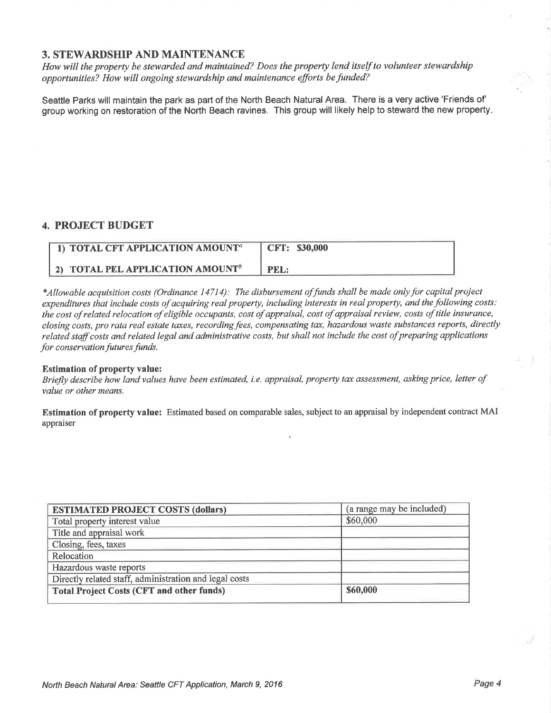## 3. STEWARDSHIP AND MAINTENANCE

How will the property be stewarded and maintained? Does the property lend itself to volunteer stewardship opportunities? How will ongoing stewardship and maintenance efforts be funded?

Seattle Parks will maintain the park as part of the North Beach Natural Area. There is a very active 'Friends of' group working on restoration of the North Beach ravines. This group will likely help to steward the new property

## 4. PROJECT BUDGET

| 1) TOTAL CFT APPLICATION AMOUNT <sup>a</sup> | CFT: \$30,000 |
|----------------------------------------------|---------------|
| 2) TOTAL PEL APPLICATION AMOUNT <sup>b</sup> | PEL:          |

\*Allowable acquisition costs (Ordinance 14714): The disbursement of funds shall be made only for capital project expenditures that include costs of acquiring real property, including interests in real property, and the following costs: the cost of related relocation of eligible occupants, cost of appraisal, cost of appraisal review, costs of title insurance, closing costs, pro rata real estate taxes, recordingfees, compensating tax, hazardous waste substances reports, directly related staff costs and related legal and administrative costs, but shall not include the cost of preparing applications for conservation futures funds.

#### Estimation of property value:

Briefly describe how land values have been estimated, i.e. appraisal, property tax assessment, asking price, letter of value or other means.

Estimation of property value: Estimated based on comparable sales, subject to an appraisal by independent contract MAI appraiser

| <b>ESTIMATED PROJECT COSTS (dollars)</b>               | (a range may be included) |
|--------------------------------------------------------|---------------------------|
| Total property interest value                          | \$60,000                  |
| Title and appraisal work                               |                           |
| Closing, fees, taxes                                   |                           |
| Relocation                                             |                           |
| Hazardous waste reports                                |                           |
| Directly related staff, administration and legal costs |                           |
| <b>Total Project Costs (CFT and other funds)</b>       | \$60,000                  |
|                                                        |                           |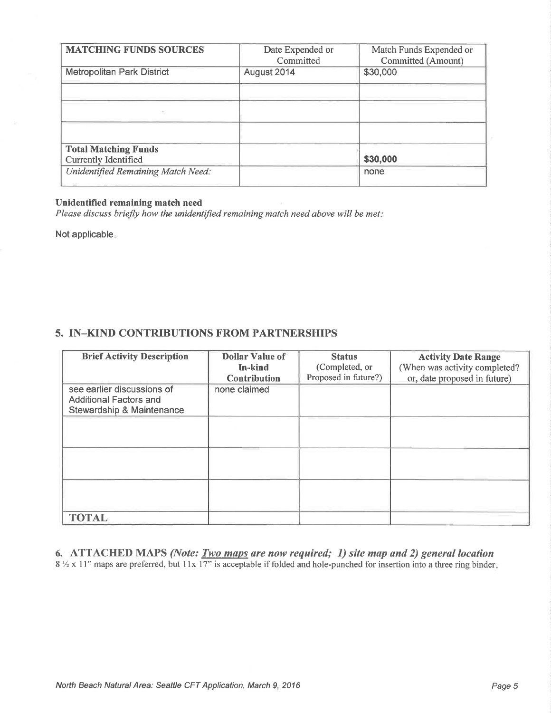| <b>MATCHING FUNDS SOURCES</b>                       | Date Expended or<br>Committed | Match Funds Expended or<br>Committed (Amount) |
|-----------------------------------------------------|-------------------------------|-----------------------------------------------|
| <b>Metropolitan Park District</b>                   | August 2014                   | \$30,000                                      |
|                                                     |                               |                                               |
|                                                     |                               |                                               |
|                                                     |                               |                                               |
| <b>Total Matching Funds</b><br>Currently Identified |                               | \$30,000                                      |
| Unidentified Remaining Match Need:                  |                               | none                                          |

#### Unidentified remaining match need

Please discuss briefly how the unidentified remaining match need above will be met:

Not applicable

## 5. IN-KIND CONTRIBUTIONS FROM PARTNERSHIPS

| <b>Brief Activity Description</b>                                                                   | <b>Dollar Value of</b><br>In-kind<br><b>Contribution</b> | <b>Status</b><br>(Completed, or<br>Proposed in future?) | <b>Activity Date Range</b><br>(When was activity completed?<br>or, date proposed in future) |
|-----------------------------------------------------------------------------------------------------|----------------------------------------------------------|---------------------------------------------------------|---------------------------------------------------------------------------------------------|
| see earlier discussions of<br><b>Additional Factors and</b><br><b>Stewardship &amp; Maintenance</b> | none claimed                                             |                                                         |                                                                                             |
|                                                                                                     |                                                          |                                                         |                                                                                             |
|                                                                                                     |                                                          |                                                         |                                                                                             |
|                                                                                                     |                                                          |                                                         |                                                                                             |
| <b>TOTAL</b>                                                                                        |                                                          |                                                         |                                                                                             |

6. ATTACHED MAPS (Note: **Two maps** are now required; 1) site map and 2) general location  $8\frac{1}{2}$  x 11" maps are preferred, but 11x 17" is acceptable if folded and hole-punched for insertion into a three ring binder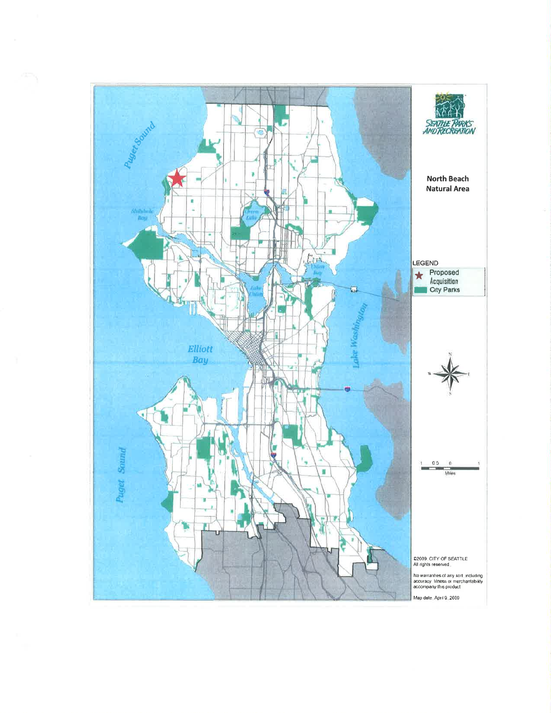